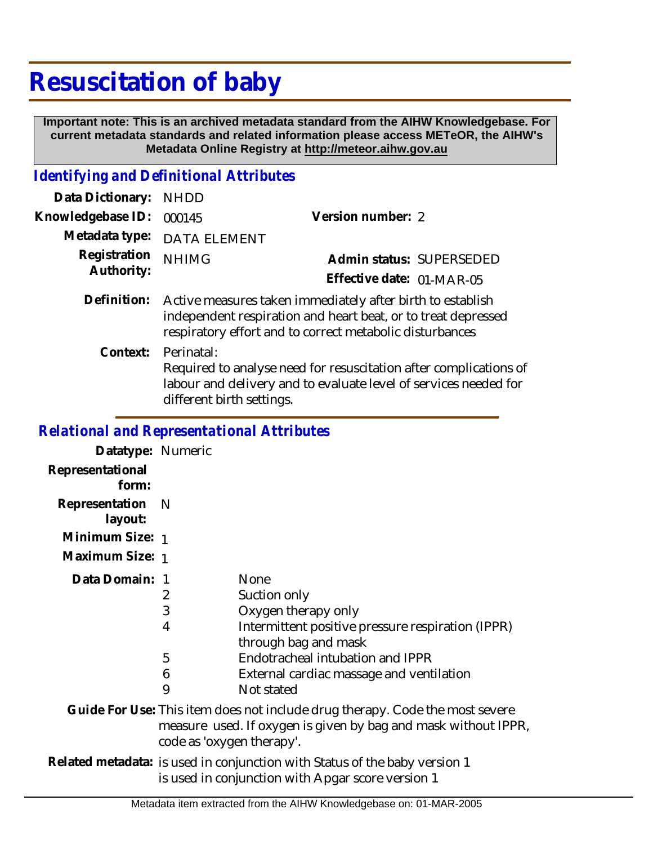## **Resuscitation of baby**

 **Important note: This is an archived metadata standard from the AIHW Knowledgebase. For current metadata standards and related information please access METeOR, the AIHW's Metadata Online Registry at http://meteor.aihw.gov.au**

## *Identifying and Definitional Attributes*

| Data Dictionary:           | <b>NHDD</b>                                                                                                                                                                             |                           |
|----------------------------|-----------------------------------------------------------------------------------------------------------------------------------------------------------------------------------------|---------------------------|
| Knowledgebase ID:          | 000145                                                                                                                                                                                  | Version number: 2         |
| Metadata type:             | <b>DATA ELEMENT</b>                                                                                                                                                                     |                           |
| Registration<br>Authority: | <b>NHIMG</b>                                                                                                                                                                            | Admin status: SUPERSEDED  |
|                            |                                                                                                                                                                                         | Effective date: 01-MAR-05 |
| Definition:                | Active measures taken immediately after birth to establish<br>independent respiration and heart beat, or to treat depressed<br>respiratory effort and to correct metabolic disturbances |                           |
| Context:                   | Perinatal:<br>Required to analyse need for resuscitation after complications of<br>labour and delivery and to evaluate level of services needed for<br>different birth settings.        |                           |

## *Relational and Representational Attributes*

| Datatype: Numeric         |                                                                                                                                                                             |                                                                           |  |
|---------------------------|-----------------------------------------------------------------------------------------------------------------------------------------------------------------------------|---------------------------------------------------------------------------|--|
| Representational          |                                                                                                                                                                             |                                                                           |  |
| form:                     |                                                                                                                                                                             |                                                                           |  |
| Representation<br>layout: | - N                                                                                                                                                                         |                                                                           |  |
| Minimum Size: 1           |                                                                                                                                                                             |                                                                           |  |
| Maximum Size: 1           |                                                                                                                                                                             |                                                                           |  |
| Data Domain:              | -1                                                                                                                                                                          | <b>None</b>                                                               |  |
|                           | 2                                                                                                                                                                           | Suction only                                                              |  |
|                           | 3                                                                                                                                                                           | Oxygen therapy only                                                       |  |
|                           | $\overline{4}$                                                                                                                                                              | Intermittent positive pressure respiration (IPPR)<br>through bag and mask |  |
|                           | 5                                                                                                                                                                           | Endotracheal intubation and IPPR                                          |  |
|                           | 6                                                                                                                                                                           | External cardiac massage and ventilation                                  |  |
|                           | 9                                                                                                                                                                           | Not stated                                                                |  |
|                           | Guide For Use: This item does not include drug therapy. Code the most severe<br>measure used. If oxygen is given by bag and mask without IPPR,<br>code as 'oxygen therapy'. |                                                                           |  |
|                           | Related metadata: is used in conjunction with Status of the baby version 1<br>is used in conjunction with Apgar score version 1                                             |                                                                           |  |